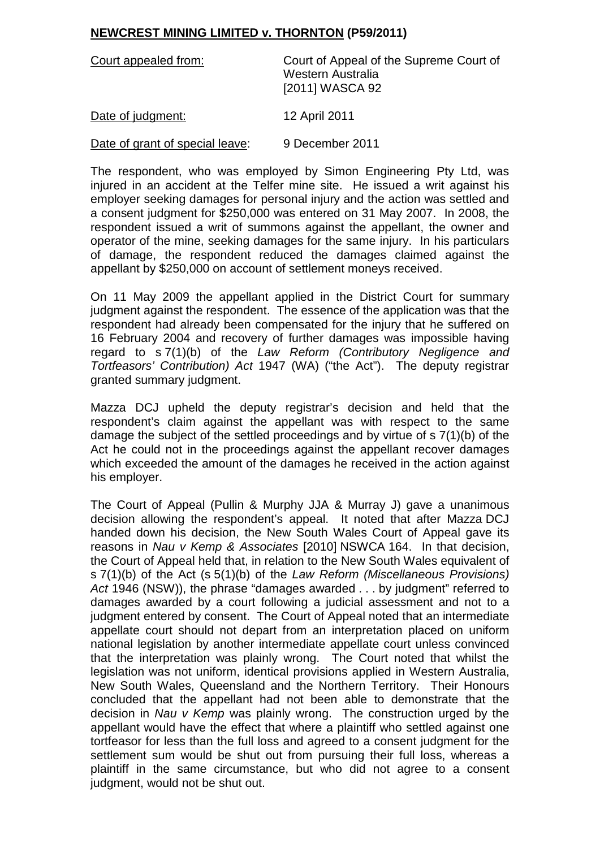## **NEWCREST MINING LIMITED v. THORNTON (P59/2011)**

| Court appealed from:            | Court of Appeal of the Supreme Court of<br>Western Australia<br>[2011] WASCA 92 |
|---------------------------------|---------------------------------------------------------------------------------|
| Date of judgment:               | 12 April 2011                                                                   |
| Date of grant of special leave: | 9 December 2011                                                                 |

The respondent, who was employed by Simon Engineering Pty Ltd, was injured in an accident at the Telfer mine site. He issued a writ against his employer seeking damages for personal injury and the action was settled and a consent judgment for \$250,000 was entered on 31 May 2007. In 2008, the respondent issued a writ of summons against the appellant, the owner and operator of the mine, seeking damages for the same injury. In his particulars of damage, the respondent reduced the damages claimed against the appellant by \$250,000 on account of settlement moneys received.

On 11 May 2009 the appellant applied in the District Court for summary judgment against the respondent. The essence of the application was that the respondent had already been compensated for the injury that he suffered on 16 February 2004 and recovery of further damages was impossible having regard to s 7(1)(b) of the *Law Reform (Contributory Negligence and Tortfeasors' Contribution) Act* 1947 (WA) ("the Act"). The deputy registrar granted summary judgment.

Mazza DCJ upheld the deputy registrar's decision and held that the respondent's claim against the appellant was with respect to the same damage the subject of the settled proceedings and by virtue of s 7(1)(b) of the Act he could not in the proceedings against the appellant recover damages which exceeded the amount of the damages he received in the action against his employer.

The Court of Appeal (Pullin & Murphy JJA & Murray J) gave a unanimous decision allowing the respondent's appeal. It noted that after Mazza DCJ handed down his decision, the New South Wales Court of Appeal gave its reasons in *Nau v Kemp & Associates* [2010] NSWCA 164. In that decision, the Court of Appeal held that, in relation to the New South Wales equivalent of s 7(1)(b) of the Act (s 5(1)(b) of the *Law Reform (Miscellaneous Provisions) Act* 1946 (NSW)), the phrase "damages awarded . . . by judgment" referred to damages awarded by a court following a judicial assessment and not to a judgment entered by consent. The Court of Appeal noted that an intermediate appellate court should not depart from an interpretation placed on uniform national legislation by another intermediate appellate court unless convinced that the interpretation was plainly wrong. The Court noted that whilst the legislation was not uniform, identical provisions applied in Western Australia, New South Wales, Queensland and the Northern Territory. Their Honours concluded that the appellant had not been able to demonstrate that the decision in *Nau v Kemp* was plainly wrong. The construction urged by the appellant would have the effect that where a plaintiff who settled against one tortfeasor for less than the full loss and agreed to a consent judgment for the settlement sum would be shut out from pursuing their full loss, whereas a plaintiff in the same circumstance, but who did not agree to a consent judgment, would not be shut out.